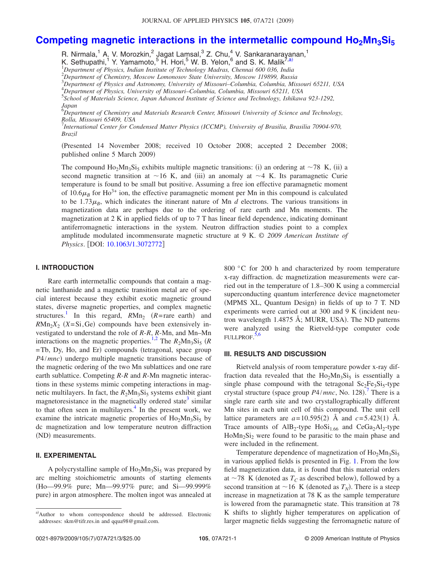# **Competing magnetic interactions in the intermetallic compound Ho2Mn3Si<sup>5</sup>**

R. Nirmala,<sup>1</sup> A. V. Morozkin,<sup>2</sup> Jagat Laṃsal,<sup>3</sup> Z. Chu, $^{4}$  V. Sankaranarayanan,<sup>1</sup> K. Sethupathi,<sup>1</sup> Y. Yamamoto,<sup>5</sup> H. Hori,<sup>5</sup> W. B. Yelon,<sup>6</sup> and S. K. Malik<sup>7,a)</sup>

<sup>1</sup>*Department of Physics, Indian Institute of Technology Madras, Chennai 600 036, India*

<sup>2</sup>*Department of Chemistry, Moscow Lomonosov State University, Moscow 119899, Russia*

<sup>3</sup>*Department of Physics and Astronomy, University of Missouri–Columbia, Columbia, Missouri 65211, USA*

<sup>4</sup>*Department of Physics, University of Missouri–Columbia, Columbia, Missouri 65211, USA*

5 *School of Materials Science, Japan Advanced Institute of Science and Technology, Ishikawa 923-1292, Japan* <sup>6</sup>*Department of Chemistry and Materials Research Center, Missouri University of Science and Technology,*

*Rolla, Missouri 65409, USA*

7 *International Center for Condensed Matter Physics (ICCMP), University of Brasilia, Brasilia 70904-970, Brazil*

Presented 14 November 2008; received 10 October 2008; accepted 2 December 2008; published online 5 March 2009)

The compound  $Ho_2Mn_3Si_5$  exhibits multiple magnetic transitions: (i) an ordering at ~78 K, (ii) a second magnetic transition at  $\sim$  16 K, and (iii) an anomaly at  $\sim$  4 K. Its paramagnetic Curie temperature is found to be small but positive. Assuming a free ion effective paramagnetic moment of 10.6 $\mu_B$  for Ho<sup>3+</sup> ion, the effective paramagnetic moment per Mn in this compound is calculated to be 1.73 $\mu_R$ , which indicates the itinerant nature of Mn *d* electrons. The various transitions in magnetization data are perhaps due to the ordering of rare earth and Mn moments. The magnetization at 2 K in applied fields of up to 7 T has linear field dependence, indicating dominant antiferromagnetic interactions in the system. Neutron diffraction studies point to a complex amplitude modulated incommensurate magnetic structure at 9 K. © *2009 American Institute of Physics*. DOI: 10.1063/1.3072772

#### **I. INTRODUCTION**

Rare earth intermetallic compounds that contain a magnetic lanthanide and a magnetic transition metal are of special interest because they exhibit exotic magnetic ground states, diverse magnetic properties, and complex magnetic structures.<sup>1</sup> In this regard,  $R M n_2$  ( $R$ =rare earth) and  $RMn_2X_2$  (*X*=Si,Ge) compounds have been extensively investigated to understand the role of *R*-*R*, *R*-Mn, and Mn–Mn interactions on the magnetic properties.<sup>1,2</sup> The  $R_2Mn_3Si_5$  (*R* =Tb, Dy, Ho, and Er) compounds (tetragonal, space group P4/*mnc*) undergo multiple magnetic transitions because of the magnetic ordering of the two Mn sublattices and one rare earth sublattice. Competing *R*-*R* and *R*-Mn magnetic interactions in these systems mimic competing interactions in magnetic multilayers. In fact, the  $R_2Mn_3Si_5$  systems exhibit giant magnetoresistance in the magnetically ordered state<sup>3</sup> similar to that often seen in multilayers. $4$  In the present work, we examine the intricate magnetic properties of  $Ho<sub>2</sub>Mn<sub>3</sub>Si<sub>5</sub>$  by dc magnetization and low temperature neutron diffraction (ND) measurements.

### **II. EXPERIMENTAL**

A polycrystalline sample of  $Ho<sub>2</sub>Mn<sub>3</sub>Si<sub>5</sub>$  was prepared by arc melting stoichiometric amounts of starting elements Ho—99.9% pure; Mn—99.97% pure; and Si—99.999% pure) in argon atmosphere. The molten ingot was annealed at

800 °C for 200 h and characterized by room temperature x-ray diffraction. dc magnetization measurements were carried out in the temperature of 1.8–300 K using a commercial superconducting quantum interference device magnetometer (MPMS XL, Quantum Design) in fields of up to 7 T. ND experiments were carried out at 300 and 9 K (incident neutron wavelength 1.4875 Å; MURR, USA). The ND patterns were analyzed using the Rietveld-type computer code FULLPROF.<sup>5,6</sup>

## **III. RESULTS AND DISCUSSION**

Rietveld analysis of room temperature powder x-ray diffraction data revealed that the  $Ho<sub>2</sub>Mn<sub>3</sub>Si<sub>5</sub>$  is essentially a single phase compound with the tetragonal  $Sc_2Fe_3Si_5$ -type crystal structure (space group  $P4/mnc$ , No. 128).<sup>7</sup> There is a single rare earth site and two crystallographically different Mn sites in each unit cell of this compound. The unit cell lattice parameters are  $a=10.595(2)$  Å and  $c=5.423(1)$  Å. Trace amounts of  $\text{AlB}_2$ -type  $\text{HoSi}_{1.66}$  and  $\text{CeGa}_2\text{Al}_2$ -type  $H \text{o} M n_2 \text{Si}_2$  were found to be parasitic to the main phase and were included in the refinement.

Temperature dependence of magnetization of  $Ho_2Mn_3Si_5$ in various applied fields is presented in Fig. 1. From the low field magnetization data, it is found that this material orders at  $\sim$  78 K (denoted as  $T_C$  as described below), followed by a second transition at  $\sim$  16 K (denoted as  $T_N$ ). There is a steep increase in magnetization at 78 K as the sample temperature is lowered from the paramagnetic state. This transition at 78 K shifts to slightly higher temperatures on application of larger magnetic fields suggesting the ferromagnetic nature of

a)Author to whom correspondence should be addressed. Electronic addresses: skm@tifr.res.in and qqua98@gmail.com.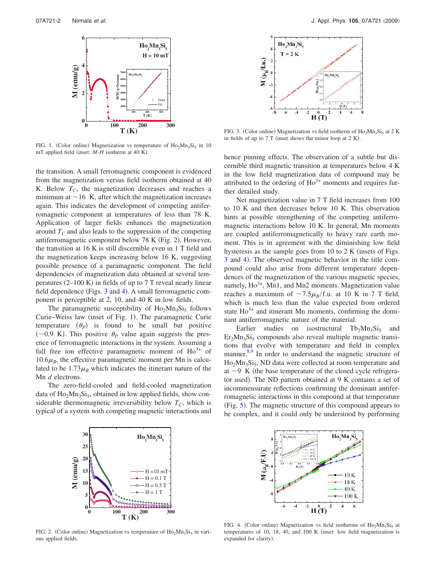

FIG. 1. (Color online) Magnetization vs temperature of  $\text{Ho}_2\text{Mn}_3\text{Si}_5$  in 10 mT applied field (inset:  $M-H$  isotherm at 40 K).

the transition. A small ferromagnetic component is evidenced from the magnetization versus field isotherm obtained at 40 K. Below  $T_c$ , the magnetization decreases and reaches a minimum at  $\sim$  16 K, after which the magnetization increases again. This indicates the development of competing antiferromagnetic component at temperatures of less than 78 K. Application of larger fields enhances the magnetization around  $T_c$  and also leads to the suppression of the competing antiferromagnetic component below 78 K (Fig. 2). However, the transition at 16 K is still discernible even in 1 T field and the magnetization keeps increasing below 16 K, suggesting possible presence of a paramagnetic component. The field dependencies of magnetization data obtained at several temperatures  $(2-100 K)$  in fields of up to 7 T reveal nearly linear field dependence (Figs. 3 and 4). A small ferromagnetic component is perceptible at 2, 10, and 40 K in low fields.

The paramagnetic susceptibility of  $Ho<sub>2</sub>Mn<sub>3</sub>Si<sub>5</sub>$  follows Curie–Weiss law (inset of Fig. 1). The paramagnetic Curie temperature  $(\theta_P)$  is found to be small but positive ( $\sim$ 0.9 K). This positive  $\theta$ <sub>*P*</sub> value again suggests the presence of ferromagnetic interactions in the system. Assuming a full free ion effective paramagnetic moment of  $Ho^{3+}$  of  $10.6\mu$ <sub>B</sub>, the effective paramagnetic moment per Mn is calculated to be  $1.73\mu$ <sub>B</sub> which indicates the itinerant nature of the Mn *d* electrons.

The zero-field-cooled and field-cooled magnetization data of  $Ho<sub>2</sub>Mn<sub>3</sub>Si<sub>5</sub>$ , obtained in low applied fields, show considerable thermomagnetic irreversibility below  $T_C$ , which is typical of a system with competing magnetic interactions and



FIG. 3. (Color online) Magnetization vs field isotherm of Ho<sub>2</sub>Mn<sub>3</sub>Si<sub>5</sub> at 2 K in fields of up to  $7T$  (inset shows the minor loop at  $2 K$ ).

hence pinning effects. The observation of a subtle but discernible third magnetic transition at temperatures below 4 K in the low field magnetization data of compound may be attributed to the ordering of  $Ho^{3+}$  moments and requires further detailed study.

Net magnetization value in 7 T field increases from 100 to 10 K and then decreases below 10 K. This observation hints at possible strengthening of the competing antiferromagnetic interactions below 10 K. In general, Mn moments are coupled antiferromagnetically to heavy rare earth moment. This is in agreement with the diminishing low field hysteresis as the sample goes from  $10$  to  $2 K$  (insets of Figs. 3 and 4). The observed magnetic behavior in the title compound could also arise from different temperature dependences of the magnetization of the various magnetic species, namely,  $Ho^{3+}$ , Mn1, and Mn2 moments. Magnetization value reaches a maximum of  $\sim$ 7.5 $\mu_B$ /f.u. at 10 K in 7 T field, which is much less than the value expected from ordered state  $Ho^{3+}$  and itinerant Mn moments, confirming the dominant antiferromagnetic nature of the material.

Earlier studies on isostructural  $Tb_2Mn_3Si_5$  and  $Er<sub>2</sub>Mn<sub>3</sub>Si<sub>5</sub> compounds also reveal multiple magnetic transi$ tions that evolve with temperature and field in complex manner.<sup>8,9</sup> In order to understand the magnetic structure of Ho<sub>2</sub>Mn<sub>3</sub>Si<sub>5</sub>, ND data were collected at room temperature and at  $\sim$ 9 K (the base temperature of the closed cycle refrigerator used). The ND pattern obtained at 9 K contains a set of incommensurate reflections confirming the dominant antiferromagnetic interactions in this compound at that temperature (Fig. 5). The magnetic structure of this compound appears to be complex, and it could only be understood by performing



FIG. 2. (Color online) Magnetization vs temperature of  $Ho<sub>2</sub>Mn<sub>3</sub>Si<sub>5</sub>$  in various applied fields.



FIG. 4. (Color online) Magnetization vs field isotherms of  $Ho<sub>2</sub>Mn<sub>3</sub>Si<sub>5</sub>$  at temperatures of 10, 18, 40, and 100 K inset: low field magnetization is expanded for clarity).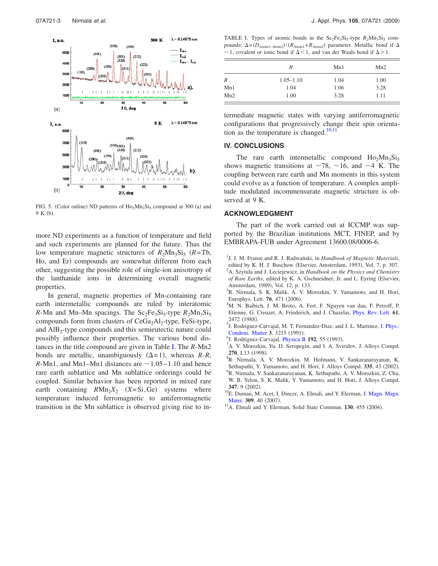

FIG. 5. (Color online) ND patterns of  $\text{Ho}_2\text{Mn}_3\text{Si}_5$  compound at 300 (a) and 9 K (b).

more ND experiments as a function of temperature and field and such experiments are planned for the future. Thus the low temperature magnetic structures of  $R_2Mn_3Si_5$  ( $R = Tb$ , Ho, and Er) compounds are somewhat different from each other, suggesting the possible role of single-ion anisotropy of the lanthanide ions in determining overall magnetic properties.

In general, magnetic properties of Mn-containing rare earth intermetallic compounds are ruled by interatomic  $R$ -Mn and Mn–Mn spacings. The  $Sc_2Fe_3Si_5$ -type  $R_2Mn_3Si_5$ compounds form from clusters of  $CeGa<sub>2</sub>Al<sub>2</sub>$ -type, FeSi-type, and AlB<sub>2</sub>-type compounds and this semieutectic nature could possibly influence their properties. The various bond distances in the title compound are given in Table I. The *R*-Mn2 bonds are metallic, unambiguously  $(\Delta = 1)$ , whereas *R-R*, *R*-Mn1, and Mn1–Mn1 distances are  $\sim$ 1.05–1.10 and hence rare earth sublattice and Mn sublattice orderings could be coupled. Similar behavior has been reported in mixed rare earth containing  $R M n_2 X_2$   $(X = Si, Ge)$  systems where temperature induced ferromagnetic to antiferromagnetic transition in the Mn sublattice is observed giving rise to in-

TABLE I. Types of atomic bonds in the  $Sc_2Fe_3Si_5$ -type  $R_2Mn_3Si_5$  compounds:  $\Delta = (D_{\text{Atom1-Atom2}})/(R_{\text{Atom1}} + R_{\text{Atom2}})$  parameter. Metallic bond if  $\Delta$  $\sim$  1, covalent or ionic bond if  $\Delta$  < 1, and van der Waals bond if  $\Delta$  > 1.

|                  | R             | Mn1  | Mn2  |
|------------------|---------------|------|------|
| $\boldsymbol{R}$ | $1.05 - 1.10$ | 1.04 | 1.00 |
| Mn1              | 1.04          | 1.06 | 3.28 |
| Mn2              | 1.00          | 3.28 | 1.11 |

termediate magnetic states with varying antiferromagnetic configurations that progressively change their spin orientation as the temperature is changed. $10,11$ 

# **IV. CONCLUSIONS**

The rare earth intermetallic compound  $Ho<sub>2</sub>Mn<sub>3</sub>Si<sub>5</sub>$ shows magnetic transitions at  $\sim$ 78,  $\sim$ 16, and  $\sim$ 4 K. The coupling between rare earth and Mn moments in this system could evolve as a function of temperature. A complex amplitude modulated incommensurate magnetic structure is observed at 9 K.

#### **ACKNOWLEDGMENT**

The part of the work carried out at ICCMP was supported by the Brazilian institutions MCT, FINEP, and by EMBRAPA-FUB under Agreement 13600.08/0006-6.

- <sup>1</sup>J. J. M. Franse and R. J. Radwański, in *Handbook of Magnetic Materials*, edited by K. H. J. Buschow (Elsevier, Amsterdam, 1993), Vol. 7, p. 307. <sup>2</sup>A. Szytula and J. Leciejewicz, in *Handbook on the Physics and Chemistry* of Rare Earths, edited by K. A. Gschneidner, Jr. and L. Eyring (Elsevier, Amsterdam, 1989), Vol. 12, p. 133.
- <sup>3</sup>R. Nirmala, S. K. Malik, A. V. Morozkin, Y. Yamamoto, and H. Hori, Europhys. Lett. **76**, 471 (2006).
- <sup>4</sup>M. N. Baibich, J. M. Broto, A. Fert, F. Nguyen van dau, F. Petroff, P. Etienne, G. Creuzet, A. Friederich, and J. Chazelas, Phys. Rev. Lett. **61**, 2472 (1988).
- <sup>5</sup>J. Rodriguez-Carvajal, M. T. Fernandez-Diaz, and J. L. Martinez, J. Phys.: Condens. Matter 3, 3215 (1991).
- <sup>6</sup>J. Rodriguez-Carvajal, *Physica B* 192, 55 (1993).
- <sup>7</sup>A. V. Morozkin, Yu. D. Seropegin, and I. A. Sviridov, J. Alloys Compd. 270, L13 (1998).
- <sup>8</sup>R. Nirmala, A. V. Morozkin, M. Hofmann, V. Sankaranarayanan, K. Sethupathi, Y. Yamamoto, and H. Hori, J. Alloys Compd. 335, 43 (2002).
- <sup>9</sup>R. Nirmala, V. Sankaranarayanan, K. Sethupathi, A. V. Morozkin, Z. Chu, W. B. Yelon, S. K. Malik, Y. Yamamoto, and H. Hori, J. Alloys Compd. 347, 9 (2002).
- <sup>10</sup>E. Duman, M. Acet, I. Dincer, A. Elmali, and Y. Elerman, J. Magn. Magn. Mater. 309, 40 (2007).
- <sup>11</sup>A. Elmali and Y. Elerman, Solid State Commun. **130**, 455 (2004).